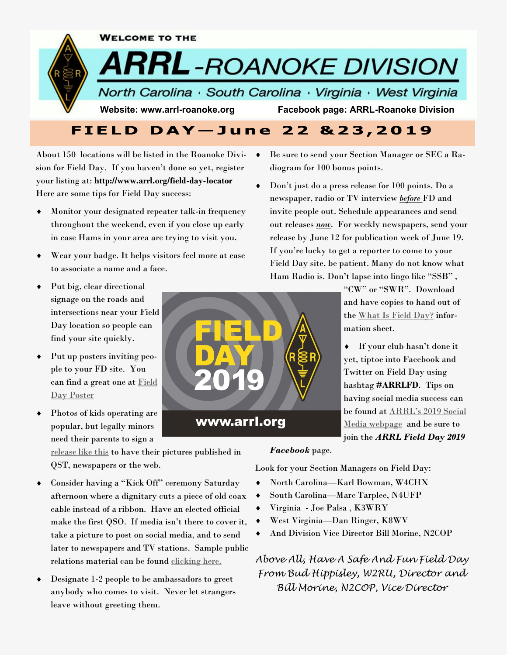

About 150 locations will be listed in the Roanoke Division for Field Day. If you haven't done so yet, register your listing at: **http://www.arrl.org/field-day-locator**  Here are some tips for Field Day success:

- Monitor your designated repeater talk-in frequency throughout the weekend, even if you close up early in case Hams in your area are trying to visit you.
- Wear your badge. It helps visitors feel more at ease to associate a name and a face.
- Put big, clear directional signage on the roads and intersections near your Field Day location so people can find your site quickly.
- Put up posters inviting people to your FD site. You can find a great one at [Field](http://www.arrl.org/files/file/Field-Day/2019/2019%20FD%20Poster.pdf)  [Day Poster](http://www.arrl.org/files/file/Field-Day/2019/2019%20FD%20Poster.pdf)
- Photos of kids operating are popular, but legally minors need their parents to sign a

[release like this](http://www.arrl.org/photo-video-release-form) to have their pictures published in QST, newspapers or the web.

- Consider having a "Kick Off" ceremony Saturday afternoon where a dignitary cuts a piece of old coax cable instead of a ribbon. Have an elected official make the first QSO. If media isn't there to cover it, take a picture to post on social media, and to send later to newspapers and TV stations. Sample public relations material can be found [clicking here.](http://www.arrl.org/files/file/Field-Day/2019/2019%20New%20Field%20Day%20PR%20Kit.pdf)
- Designate 1-2 people to be ambassadors to greet anybody who comes to visit. Never let strangers leave without greeting them.

### www.arrl.org

 Be sure to send your Section Manager or SEC a Radiogram for 100 bonus points.

 Don't just do a press release for 100 points. Do a newspaper, radio or TV interview *before* FD and invite people out. Schedule appearances and send out releases *now*. For weekly newspapers, send your release by June 12 for publication week of June 19. If you're lucky to get a reporter to come to your Field Day site, be patient. Many do not know what Ham Radio is. Don't lapse into lingo like "SSB" ,

> "CW" or "SWR". Download and have copies to hand out of the [What Is Field Day?](http://www.arrl.org/files/file/Field-Day/2019/2019%20FD%20Flier%20-%20What%20is%20FD.pdf) information sheet.

 If your club hasn't done it yet, tiptoe into Facebook and Twitter on Field Day using hashtag **#ARRLFD**. Tips on having social media success can be found at [ARRL's 2019 Social](http://www.arrl.org/files/file/Field-Day/2019/2019%20Social%20Media.pdf)  [Media webpage](http://www.arrl.org/files/file/Field-Day/2019/2019%20Social%20Media.pdf) and be sure to join the *ARRL Field Day 2019* 

*Facebook* page.

Look for your Section Managers on Field Day:

- North Carolina—Karl Bowman, W4CHX
- South Carolina—Marc Tarplee, N4UFP
- Virginia Joe Palsa , K3WRY
- West Virginia—Dan Ringer, K8WV
- And Division Vice Director Bill Morine, N2COP

*Above All, Have A Safe And Fun Field Day From Bud Hippisley, W2RU, Director and Bill Morine, N2COP, Vice Director*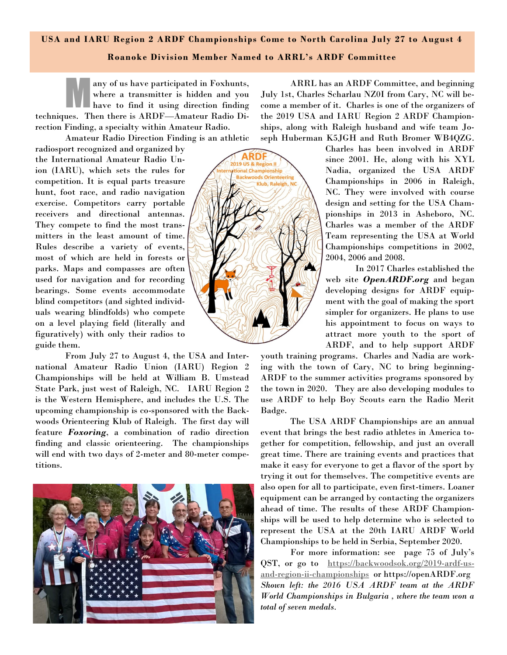# **USA and IARU Region 2 ARDF Championships Come to North Carolina July 27 to August 4**

### **Roanoke Division Member Named to ARRL's ARDF Committee**

M any of us have participated in Foxhunts, where a transmitter is hidden and you have to find it using direction finding techniques. Then there is ARDF—Amateur Radio Direction Finding, a specialty within Amateur Radio.

Amateur Radio Direction Finding is an athletic

radiosport recognized and organized by the International Amateur Radio Union (IARU), which sets the rules for competition. It is equal parts treasure hunt, foot race, and radio navigation exercise. Competitors carry portable receivers and directional antennas. They compete to find the most transmitters in the least amount of time. Rules describe a variety of events, most of which are held in forests or parks. Maps and compasses are often used for navigation and for recording bearings. Some events accommodate blind competitors (and sighted individuals wearing blindfolds) who compete on a level playing field (literally and figuratively) with only their radios to guide them.

From July 27 to August 4, the USA and International Amateur Radio Union (IARU) Region 2 Championships will be held at William B. Umstead State Park, just west of Raleigh, NC. IARU Region 2 is the Western Hemisphere, and includes the U.S. The upcoming championship is co-sponsored with the Backwoods Orienteering Klub of Raleigh. The first day will feature *Foxoring*, a combination of radio direction finding and classic orienteering. The championships will end with two days of 2-meter and 80-meter competitions.



ARRL has an ARDF Committee, and beginning July 1st, Charles Scharlau NZ0I from Cary, NC will become a member of it. Charles is one of the organizers of the 2019 USA and IARU Region 2 ARDF Championships, along with Raleigh husband and wife team Joseph Huberman K5JGH and Ruth Bromer WB4QZG.

Charles has been involved in ARDF since 2001. He, along with his XYL Nadia, organized the USA ARDF Championships in 2006 in Raleigh, NC. They were involved with course design and setting for the USA Championships in 2013 in Asheboro, NC. Charles was a member of the ARDF Team representing the USA at World Championships competitions in 2002, 2004, 2006 and 2008.

In 2017 Charles established the web site *OpenARDF.org* and began developing designs for ARDF equipment with the goal of making the sport simpler for organizers. He plans to use his appointment to focus on ways to attract more youth to the sport of ARDF, and to help support ARDF

youth training programs. Charles and Nadia are working with the town of Cary, NC to bring beginning-ARDF to the summer activities programs sponsored by the town in 2020. They are also developing modules to use ARDF to help Boy Scouts earn the Radio Merit Badge.

The USA ARDF Championships are an annual event that brings the best radio athletes in America together for competition, fellowship, and just an overall great time. There are training events and practices that make it easy for everyone to get a flavor of the sport by trying it out for themselves. The competitive events are also open for all to participate, even first-timers. Loaner equipment can be arranged by contacting the organizers ahead of time. The results of these ARDF Championships will be used to help determine who is selected to represent the USA at the 20th IARU ARDF World Championships to be held in Serbia, September 2020.

For more information: see page 75 of July's QST, or go to [https://backwoodsok.org/2019-ardf-us](https://backwoodsok.org/2019-ardf-us-and-region-ii-championships)[and-region-ii-championships](https://backwoodsok.org/2019-ardf-us-and-region-ii-championships) or https://openARDF.org *Shown left: the 2016 USA ARDF team at the ARDF World Championships in Bulgaria , where the team won a total of seven medals.*